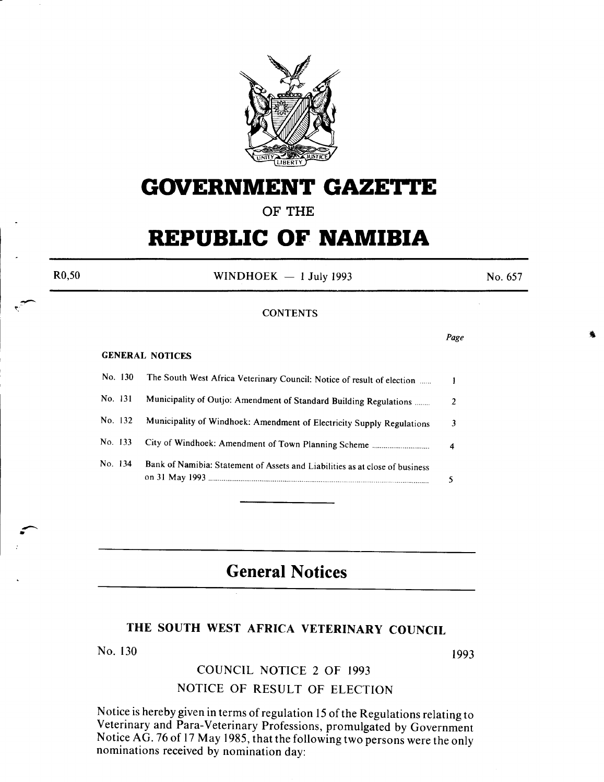

# **GOVERNMENT GAZETTE**

### OF THE

## **REPUBLIC OF NAMIBIA**

R0,50

• --

WINDHOEK  $-1$  July 1993

No. 657

*Page* 

#### **CONTENTS**

#### GENERAL NOTICES

|         | No. 130 | The South West Africa Veterinary Council: Notice of result of election       |   |
|---------|---------|------------------------------------------------------------------------------|---|
| No. 131 |         | Municipality of Outjo: Amendment of Standard Building Regulations            | 2 |
|         | No. 132 | Municipality of Windhoek: Amendment of Electricity Supply Regulations        |   |
| No. 133 |         |                                                                              |   |
| No. 134 |         | Bank of Namibia: Statement of Assets and Liabilities as at close of business |   |

## **General Notices**

## THE SOUTH WEST AFRICA VETERINARY COUNCIL

No. 130

1993

## COUNCIL NOTICE 2 OF 1993

### NOTICE OF RESULT OF ELECTION

Notice is hereby given in terms of regulation 15 of the Regulations relating to Veterinary and Para-Veterinary Professions, promulgated by Government Notice AG. 76 of 17 May 1985, that the following two persons were the only nominations received by nomination day: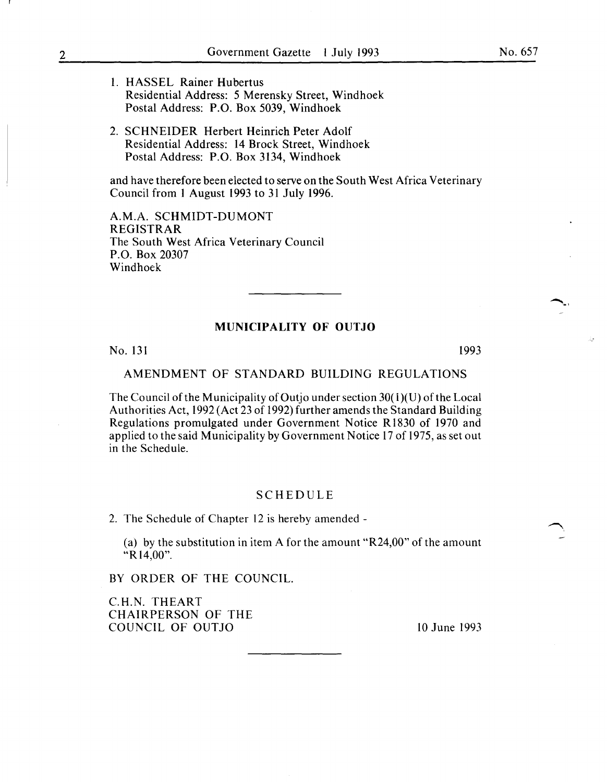- 1. HASSEL Rainer Hubertus Residential Address: 5 Merensky Street, Windhoek Postal Address: P.O. Box 5039, Windhoek
- 2. SCHNEIDER Herbert Heinrich Peter Adolf Residential Address: 14 Brock Street, Windhoek Postal Address: P.O. Box 3134, Windhoek

and have therefore been elected to serve on the South West Africa Veterinary Council from 1 August 1993 to 31 July 1996.

A.M.A. SCHMIDT-DUMONT REGISTRAR The South West Africa Veterinary Council P.O. Box 20307 Windhoek

#### **MUNICIPALITY OF OUTJO**

No. 131 1993

#### AMENDMENT OF STANDARD BUILDING REGULATIONS

The Council of the Municipality of Outjo under section  $30(1)(U)$  of the Local Authorities Act, 1992 (Act 23 of 1992) further amends the Standard Building Regulations promulgated under Government Notice R 1830 of 1970 and applied to the said Municipality by Government Notice 17 of 1975, as set out in the Schedule.

#### SCHEDULE

2. The Schedule of Chapter 12 is hereby amended-

(a) by the substitution in item A for the amount "R24,00" of the amount "R 14,00".

BY ORDER OF THE COUNCIL.

C.H.N. THEART CHAIRPERSON OF THE COUNCIL OF OUTJO 10 June 1993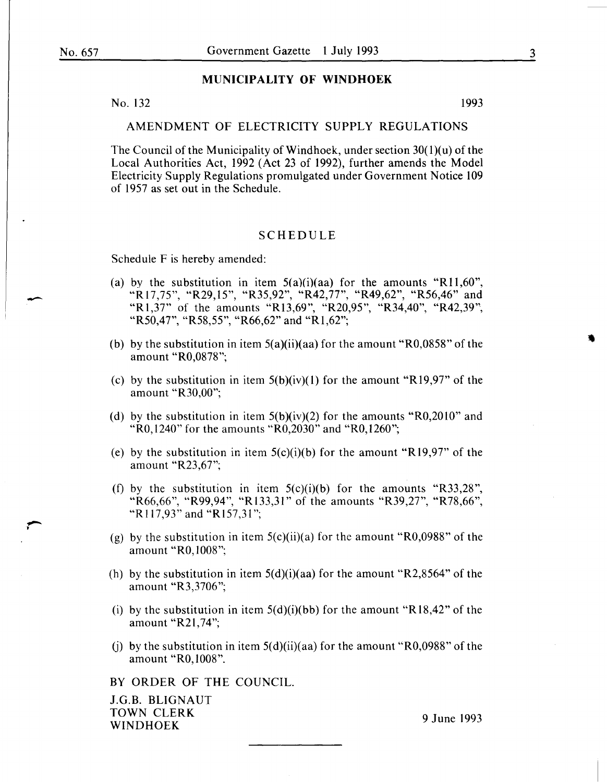-

#### **MUNICIPALITY OF WINDHOEK**

No. 132 1993

#### AMENDMENT OF ELECTRICITY SUPPLY REGULATIONS

The Council of the Municipality of Windhoek, under section  $30(1)(u)$  of the Local Authorities Act, 1992 (Act 23 of 1992), further amends the Model Electricity Supply Regulations promulgated under Government Notice 109 of 1957 as set out in the Schedule.

#### SCHEDULE

Schedule F is hereby amended:

- (a) by the substitution in item  $5(a)(i)(aa)$  for the amounts "R11,60", "R 17, 75", "R29, 15", "R35,92", "R42, 77", "R49,62", "R56,46" and "R1,37" of the amounts "R13,69", "R20,95", "R34,40", "R42,39", "R50,47", "R58,55", "R66,62" and "R1,62";
- (b) by the substitution in item  $5(a)(ii)(aa)$  for the amount "R0,0858" of the amount "R0,0878";
- (c) by the substitution in item  $5(b)(iv)(1)$  for the amount "R19,97" of the amount "R30,00";
- (d) by the substitution in item  $5(b)(iv)(2)$  for the amounts "R0,2010" and "RO, 1240" for the amounts "R0,2030" and "R0,1260";
- (e) by the substitution in item  $5(c)(i)(b)$  for the amount "R19,97" of the amount "R23,67";
- (f) by the substitution in item  $5(c)(i)(b)$  for the amounts "R33,28", "R66,66", "R99,94", "R133,31" of the amounts "R39,27", "R78,66", "Rl17,93" and "R157,31";
- (g) by the substitution in item  $5(c)(ii)(a)$  for the amount "R0,0988" of the amount "RO, 1008";
- (h) by the substitution in item  $5(d)(i)(aa)$  for the amount "R2,8564" of the amount "R3,3706 ";
- (i) by the substitution in item  $5(d)(i)(bb)$  for the amount "R18,42" of the amount "R21,74";
- (i) by the substitution in item  $5(d)(ii)(aa)$  for the amount "R0,0988" of the amount "RO, 1008".

BY ORDER OF THE COUNCIL.

J.G.B. BLIGNAUT TOWN CLERK POWN CLEAR 9 June 1993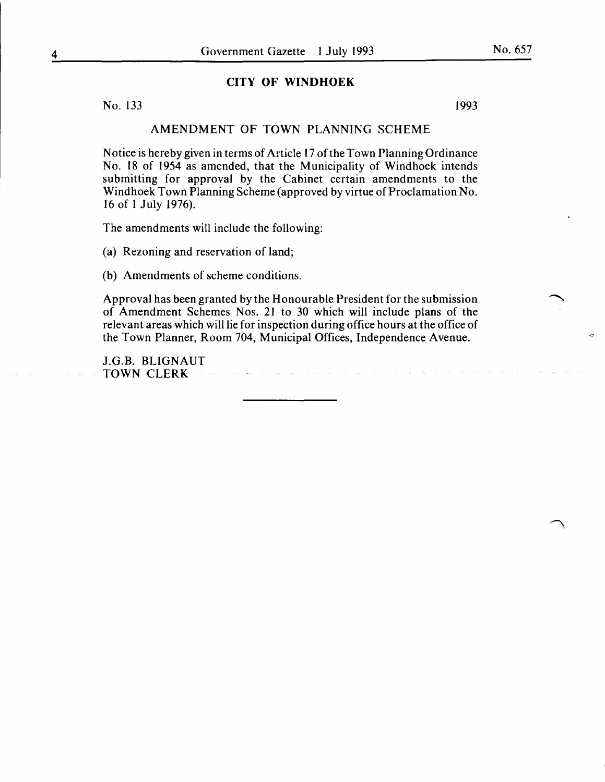#### **CITY OF WINDHOEK**

No. 133 1993

#### AMENDMENT OF TOWN PLANNING SCHEME

Notice is hereby given in terms of Article 17 of the Town Planning Ordinance No. 18 of 1954 as amended, that the Municipality of Windhoek intends submitting for approval by the Cabinet certain amendments to the Windhoek Town Planning Scheme (approved by virtue of Proclamation No. 16 of 1 July 1976).

The amendments will include the following:

(a) Rezoning and reservation of land;

(b) Amendments of scheme conditions.

Approval has been granted by the Honourable President for the submission of Amendment Schemes Nos. 21 to 30 which will include plans of the relevant areas which will lie for inspection during office hours at the office of the Town Planner, Room 704, Municipal Offices, Independence Avenue.

J.G.B. BLIGNAUT TOWN CLERK